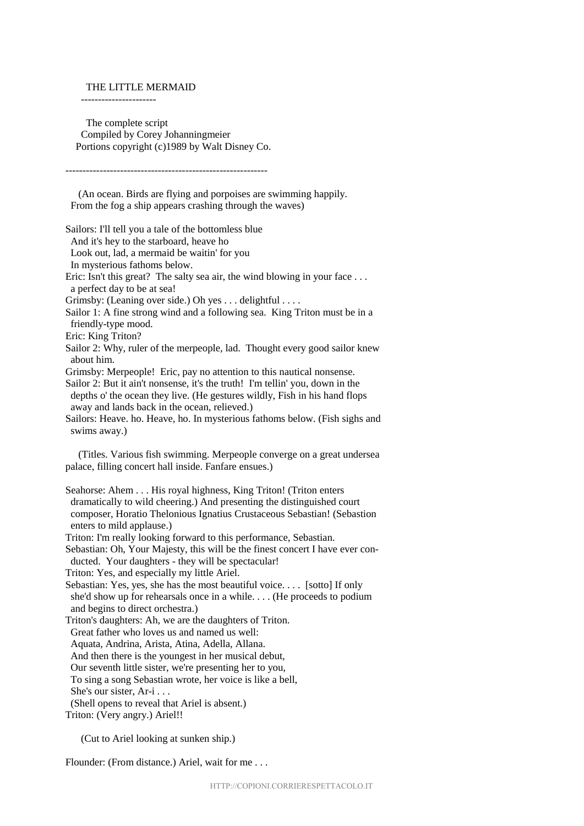## THE LITTLE MERMAID

----------------------

 The complete script Compiled by Corey Johanningmeier Portions copyright (c)1989 by Walt Disney Co.

-----------------------------------------------------------

 (An ocean. Birds are flying and porpoises are swimming happily. From the fog a ship appears crashing through the waves)

Sailors: I'll tell you a tale of the bottomless blue

And it's hey to the starboard, heave ho

Look out, lad, a mermaid be waitin' for you

In mysterious fathoms below.

Eric: Isn't this great? The salty sea air, the wind blowing in your face ... a perfect day to be at sea!

Grimsby: (Leaning over side.) Oh yes . . . delightful . . . .

Sailor 1: A fine strong wind and a following sea. King Triton must be in a friendly-type mood.

Eric: King Triton?

Sailor 2: Why, ruler of the merpeople, lad. Thought every good sailor knew about him.

Grimsby: Merpeople! Eric, pay no attention to this nautical nonsense.

Sailor 2: But it ain't nonsense, it's the truth! I'm tellin' you, down in the depths o' the ocean they live. (He gestures wildly, Fish in his hand flops away and lands back in the ocean, relieved.)

Sailors: Heave. ho. Heave, ho. In mysterious fathoms below. (Fish sighs and swims away.)

 (Titles. Various fish swimming. Merpeople converge on a great undersea palace, filling concert hall inside. Fanfare ensues.)

Seahorse: Ahem . . . His royal highness, King Triton! (Triton enters dramatically to wild cheering.) And presenting the distinguished court composer, Horatio Thelonious Ignatius Crustaceous Sebastian! (Sebastion enters to mild applause.) Triton: I'm really looking forward to this performance, Sebastian. Sebastian: Oh, Your Majesty, this will be the finest concert I have ever con ducted. Your daughters - they will be spectacular! Triton: Yes, and especially my little Ariel. Sebastian: Yes, yes, she has the most beautiful voice. . . . [sotto] If only she'd show up for rehearsals once in a while. . . . (He proceeds to podium and begins to direct orchestra.) Triton's daughters: Ah, we are the daughters of Triton. Great father who loves us and named us well: Aquata, Andrina, Arista, Atina, Adella, Allana. And then there is the youngest in her musical debut, Our seventh little sister, we're presenting her to you, To sing a song Sebastian wrote, her voice is like a bell, She's our sister, Ar-i . . .

(Shell opens to reveal that Ariel is absent.)

Triton: (Very angry.) Ariel!!

(Cut to Ariel looking at sunken ship.)

Flounder: (From distance.) Ariel, wait for me . . .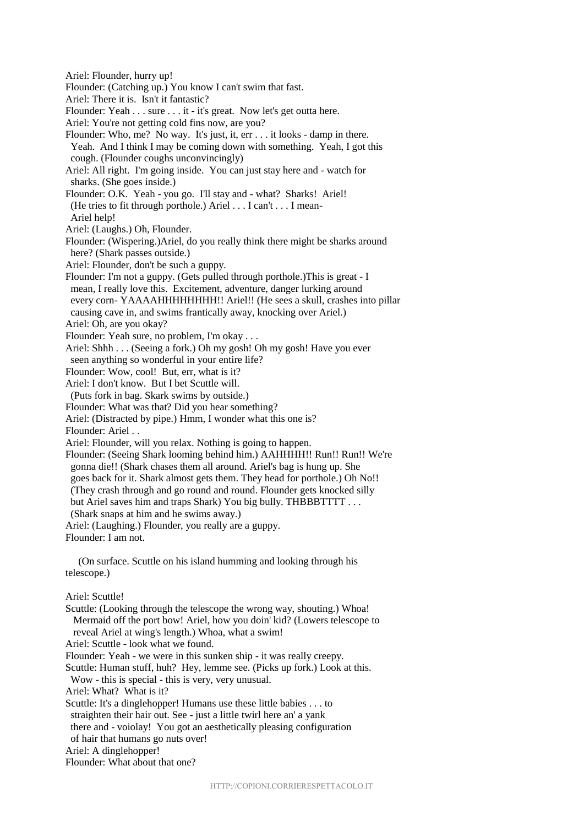Ariel: Flounder, hurry up! Flounder: (Catching up.) You know I can't swim that fast. Ariel: There it is. Isn't it fantastic? Flounder: Yeah . . . sure . . . it - it's great. Now let's get outta here. Ariel: You're not getting cold fins now, are you? Flounder: Who, me? No way. It's just, it, err . . . it looks - damp in there. Yeah. And I think I may be coming down with something. Yeah, I got this cough. (Flounder coughs unconvincingly) Ariel: All right. I'm going inside. You can just stay here and - watch for sharks. (She goes inside.) Flounder: O.K. Yeah - you go. I'll stay and - what? Sharks! Ariel! (He tries to fit through porthole.) Ariel . . . I can't . . . I mean- Ariel help! Ariel: (Laughs.) Oh, Flounder. Flounder: (Wispering.)Ariel, do you really think there might be sharks around here? (Shark passes outside.) Ariel: Flounder, don't be such a guppy. Flounder: I'm not a guppy. (Gets pulled through porthole.)This is great - I mean, I really love this. Excitement, adventure, danger lurking around every corn- YAAAAHHHHHHHH!! Ariel!! (He sees a skull, crashes into pillar causing cave in, and swims frantically away, knocking over Ariel.) Ariel: Oh, are you okay? Flounder: Yeah sure, no problem, I'm okay . . . Ariel: Shhh . . . (Seeing a fork.) Oh my gosh! Oh my gosh! Have you ever seen anything so wonderful in your entire life? Flounder: Wow, cool! But, err, what is it? Ariel: I don't know. But I bet Scuttle will. (Puts fork in bag. Skark swims by outside.) Flounder: What was that? Did you hear something? Ariel: (Distracted by pipe.) Hmm, I wonder what this one is? Flounder: Ariel . . Ariel: Flounder, will you relax. Nothing is going to happen. Flounder: (Seeing Shark looming behind him.) AAHHHH!! Run!! Run!! We're gonna die!! (Shark chases them all around. Ariel's bag is hung up. She goes back for it. Shark almost gets them. They head for porthole.) Oh No!! (They crash through and go round and round. Flounder gets knocked silly but Ariel saves him and traps Shark) You big bully. THBBBTTTT . . . (Shark snaps at him and he swims away.) Ariel: (Laughing.) Flounder, you really are a guppy. Flounder: I am not. (On surface. Scuttle on his island humming and looking through his telescope.) Ariel: Scuttle! Scuttle: (Looking through the telescope the wrong way, shouting.) Whoa! Mermaid off the port bow! Ariel, how you doin' kid? (Lowers telescope to reveal Ariel at wing's length.) Whoa, what a swim! Ariel: Scuttle - look what we found. Flounder: Yeah - we were in this sunken ship - it was really creepy. Scuttle: Human stuff, huh? Hey, lemme see. (Picks up fork.) Look at this. Wow - this is special - this is very, very unusual. Ariel: What? What is it? Scuttle: It's a dinglehopper! Humans use these little babies . . . to straighten their hair out. See - just a little twirl here an' a yank there and - voiolay! You got an aesthetically pleasing configuration of hair that humans go nuts over! Ariel: A dinglehopper! Flounder: What about that one?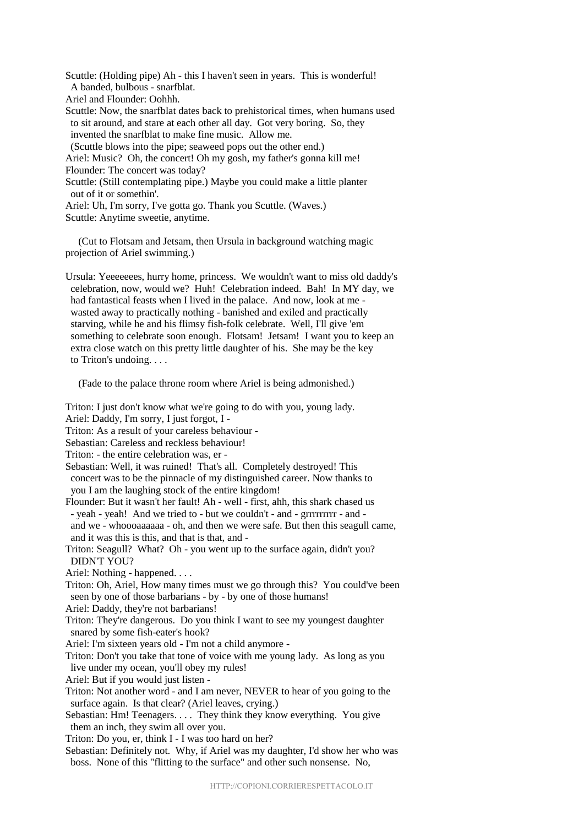Scuttle: (Holding pipe) Ah - this I haven't seen in years. This is wonderful! A banded, bulbous - snarfblat. Ariel and Flounder: Oohhh. Scuttle: Now, the snarfblat dates back to prehistorical times, when humans used to sit around, and stare at each other all day. Got very boring. So, they invented the snarfblat to make fine music. Allow me. (Scuttle blows into the pipe; seaweed pops out the other end.) Ariel: Music? Oh, the concert! Oh my gosh, my father's gonna kill me! Flounder: The concert was today? Scuttle: (Still contemplating pipe.) Maybe you could make a little planter out of it or somethin'. Ariel: Uh, I'm sorry, I've gotta go. Thank you Scuttle. (Waves.)

Scuttle: Anytime sweetie, anytime.

 (Cut to Flotsam and Jetsam, then Ursula in background watching magic projection of Ariel swimming.)

Ursula: Yeeeeeees, hurry home, princess. We wouldn't want to miss old daddy's celebration, now, would we? Huh! Celebration indeed. Bah! In MY day, we had fantastical feasts when I lived in the palace. And now, look at me wasted away to practically nothing - banished and exiled and practically starving, while he and his flimsy fish-folk celebrate. Well, I'll give 'em something to celebrate soon enough. Flotsam! Jetsam! I want you to keep an extra close watch on this pretty little daughter of his. She may be the key to Triton's undoing. . . .

(Fade to the palace throne room where Ariel is being admonished.)

Triton: I just don't know what we're going to do with you, young lady. Ariel: Daddy, I'm sorry, I just forgot, I -

- Triton: As a result of your careless behaviour -
- Sebastian: Careless and reckless behaviour!

Triton: - the entire celebration was, er -

Sebastian: Well, it was ruined! That's all. Completely destroyed! This concert was to be the pinnacle of my distinguished career. Now thanks to you I am the laughing stock of the entire kingdom!

Flounder: But it wasn't her fault! Ah - well - first, ahh, this shark chased us - yeah - yeah! And we tried to - but we couldn't - and - grrrrrrrrr - and and we - whoooaaaaaa - oh, and then we were safe. But then this seagull came, and it was this is this, and that is that, and -

Triton: Seagull? What? Oh - you went up to the surface again, didn't you? DIDN'T YOU?

Ariel: Nothing - happened. . . .

Triton: Oh, Ariel, How many times must we go through this? You could've been seen by one of those barbarians - by - by one of those humans! Ariel: Daddy, they're not barbarians!

Triton: They're dangerous. Do you think I want to see my youngest daughter snared by some fish-eater's hook?

Ariel: I'm sixteen years old - I'm not a child anymore -

Triton: Don't you take that tone of voice with me young lady. As long as you live under my ocean, you'll obey my rules!

Ariel: But if you would just listen -

Triton: Not another word - and I am never, NEVER to hear of you going to the surface again. Is that clear? (Ariel leaves, crying.)

Sebastian: Hm! Teenagers. . . . They think they know everything. You give them an inch, they swim all over you.

Triton: Do you, er, think I - I was too hard on her?

Sebastian: Definitely not. Why, if Ariel was my daughter, I'd show her who was boss. None of this "flitting to the surface" and other such nonsense. No,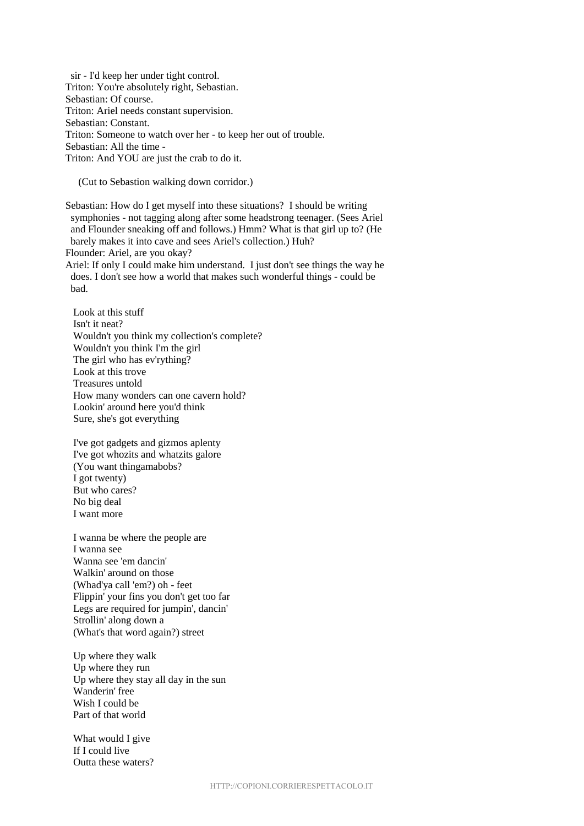sir - I'd keep her under tight control. Triton: You're absolutely right, Sebastian. Sebastian: Of course. Triton: Ariel needs constant supervision. Sebastian: Constant. Triton: Someone to watch over her - to keep her out of trouble. Sebastian: All the time - Triton: And YOU are just the crab to do it.

(Cut to Sebastion walking down corridor.)

Sebastian: How do I get myself into these situations? I should be writing symphonies - not tagging along after some headstrong teenager. (Sees Ariel and Flounder sneaking off and follows.) Hmm? What is that girl up to? (He barely makes it into cave and sees Ariel's collection.) Huh?

Flounder: Ariel, are you okay?

Ariel: If only I could make him understand. I just don't see things the way he does. I don't see how a world that makes such wonderful things - could be bad.

 Look at this stuff Isn't it neat? Wouldn't you think my collection's complete? Wouldn't you think I'm the girl The girl who has ev'rything? Look at this trove Treasures untold How many wonders can one cavern hold? Lookin' around here you'd think Sure, she's got everything

 I've got gadgets and gizmos aplenty I've got whozits and whatzits galore (You want thingamabobs? I got twenty) But who cares? No big deal I want more

 I wanna be where the people are I wanna see Wanna see 'em dancin' Walkin' around on those (Whad'ya call 'em?) oh - feet Flippin' your fins you don't get too far Legs are required for jumpin', dancin' Strollin' along down a (What's that word again?) street

 Up where they walk Up where they run Up where they stay all day in the sun Wanderin' free Wish I could be Part of that world

 What would I give If I could live Outta these waters?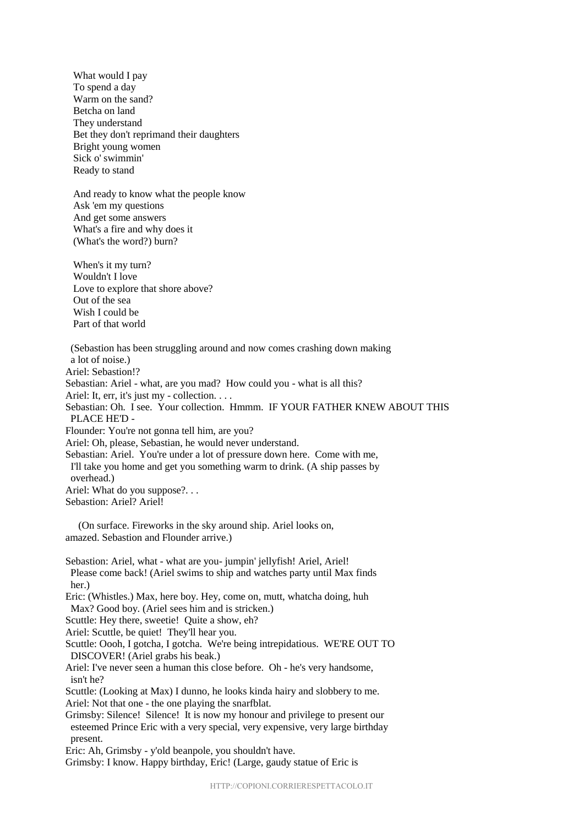What would I pay To spend a day Warm on the sand? Betcha on land They understand Bet they don't reprimand their daughters Bright young women Sick o' swimmin' Ready to stand

 And ready to know what the people know Ask 'em my questions And get some answers What's a fire and why does it (What's the word?) burn?

 When's it my turn? Wouldn't I love Love to explore that shore above? Out of the sea Wish I could be Part of that world

 (Sebastion has been struggling around and now comes crashing down making a lot of noise.) Ariel: Sebastion!? Sebastian: Ariel - what, are you mad? How could you - what is all this? Ariel: It, err, it's just my - collection. . . . Sebastian: Oh. I see. Your collection. Hmmm. IF YOUR FATHER KNEW ABOUT THIS PLACE HE'D - Flounder: You're not gonna tell him, are you? Ariel: Oh, please, Sebastian, he would never understand. Sebastian: Ariel. You're under a lot of pressure down here. Come with me, I'll take you home and get you something warm to drink. (A ship passes by overhead.) Ariel: What do you suppose?... Sebastion: Ariel? Ariel!

 (On surface. Fireworks in the sky around ship. Ariel looks on, amazed. Sebastion and Flounder arrive.)

Sebastion: Ariel, what - what are you- jumpin' jellyfish! Ariel, Ariel! Please come back! (Ariel swims to ship and watches party until Max finds her.)

Eric: (Whistles.) Max, here boy. Hey, come on, mutt, whatcha doing, huh Max? Good boy. (Ariel sees him and is stricken.)

Scuttle: Hey there, sweetie! Quite a show, eh?

Ariel: Scuttle, be quiet! They'll hear you.

Scuttle: Oooh, I gotcha, I gotcha. We're being intrepidatious. WE'RE OUT TO DISCOVER! (Ariel grabs his beak.)

Ariel: I've never seen a human this close before. Oh - he's very handsome, isn't he?

Scuttle: (Looking at Max) I dunno, he looks kinda hairy and slobbery to me. Ariel: Not that one - the one playing the snarfblat.

Grimsby: Silence! Silence! It is now my honour and privilege to present our esteemed Prince Eric with a very special, very expensive, very large birthday present.

Eric: Ah, Grimsby - y'old beanpole, you shouldn't have.

Grimsby: I know. Happy birthday, Eric! (Large, gaudy statue of Eric is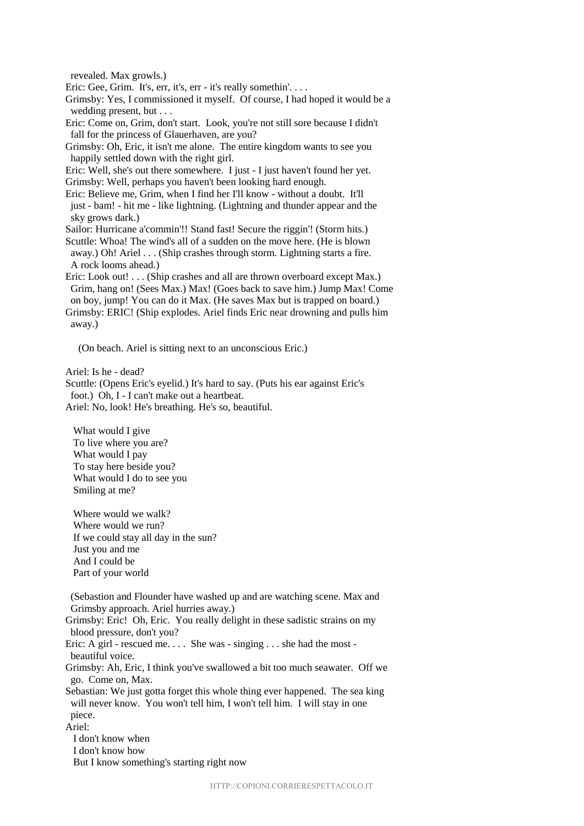revealed. Max growls.)

Eric: Gee, Grim. It's, err, it's, err - it's really somethin'...

Grimsby: Yes, I commissioned it myself. Of course, I had hoped it would be a wedding present, but . . .

Eric: Come on, Grim, don't start. Look, you're not still sore because I didn't fall for the princess of Glauerhaven, are you?

Grimsby: Oh, Eric, it isn't me alone. The entire kingdom wants to see you happily settled down with the right girl.

Eric: Well, she's out there somewhere. I just - I just haven't found her yet. Grimsby: Well, perhaps you haven't been looking hard enough.

Eric: Believe me, Grim, when I find her I'll know - without a doubt. It'll just - bam! - hit me - like lightning. (Lightning and thunder appear and the sky grows dark.)

Sailor: Hurricane a'commin'!! Stand fast! Secure the riggin'! (Storm hits.)

Scuttle: Whoa! The wind's all of a sudden on the move here. (He is blown away.) Oh! Ariel . . . (Ship crashes through storm. Lightning starts a fire. A rock looms ahead.)

Eric: Look out! . . . (Ship crashes and all are thrown overboard except Max.) Grim, hang on! (Sees Max.) Max! (Goes back to save him.) Jump Max! Come on boy, jump! You can do it Max. (He saves Max but is trapped on board.) Grimsby: ERIC! (Ship explodes. Ariel finds Eric near drowning and pulls him

away.)

(On beach. Ariel is sitting next to an unconscious Eric.)

Ariel: Is he - dead?

Scuttle: (Opens Eric's eyelid.) It's hard to say. (Puts his ear against Eric's foot.) Oh, I - I can't make out a heartbeat.

Ariel: No, look! He's breathing. He's so, beautiful.

 What would I give To live where you are? What would I pay To stay here beside you? What would I do to see you Smiling at me?

 Where would we walk? Where would we run? If we could stay all day in the sun? Just you and me And I could be Part of your world

 (Sebastion and Flounder have washed up and are watching scene. Max and Grimsby approach. Ariel hurries away.)

Grimsby: Eric! Oh, Eric. You really delight in these sadistic strains on my blood pressure, don't you?

Eric: A girl - rescued me. . . . She was - singing . . . she had the most beautiful voice.

Grimsby: Ah, Eric, I think you've swallowed a bit too much seawater. Off we go. Come on, Max.

Sebastian: We just gotta forget this whole thing ever happened. The sea king will never know. You won't tell him, I won't tell him. I will stay in one piece.

Ariel:

I don't know when

I don't know how

But I know something's starting right now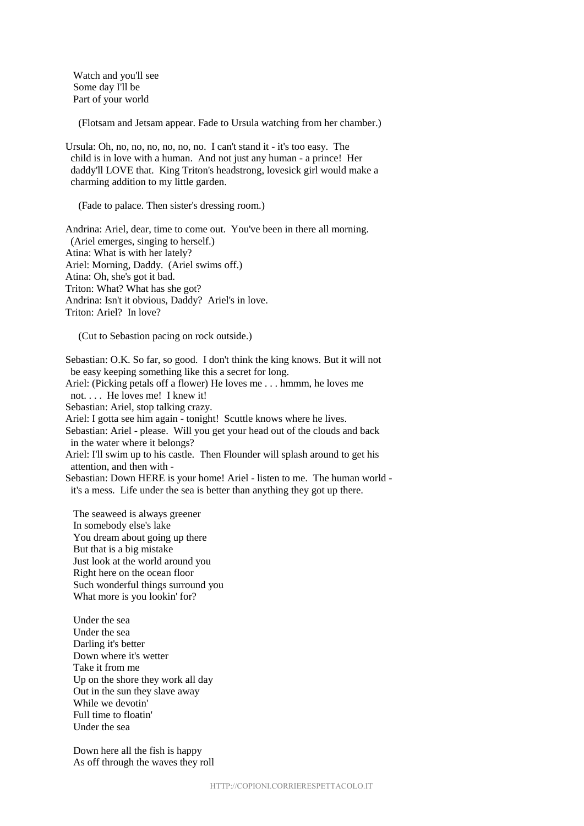Watch and you'll see Some day I'll be Part of your world

(Flotsam and Jetsam appear. Fade to Ursula watching from her chamber.)

Ursula: Oh, no, no, no, no, no, no. I can't stand it - it's too easy. The child is in love with a human. And not just any human - a prince! Her daddy'll LOVE that. King Triton's headstrong, lovesick girl would make a charming addition to my little garden.

(Fade to palace. Then sister's dressing room.)

Andrina: Ariel, dear, time to come out. You've been in there all morning. (Ariel emerges, singing to herself.) Atina: What is with her lately? Ariel: Morning, Daddy. (Ariel swims off.) Atina: Oh, she's got it bad. Triton: What? What has she got? Andrina: Isn't it obvious, Daddy? Ariel's in love. Triton: Ariel? In love?

(Cut to Sebastion pacing on rock outside.)

Sebastian: O.K. So far, so good. I don't think the king knows. But it will not be easy keeping something like this a secret for long. Ariel: (Picking petals off a flower) He loves me . . . hmmm, he loves me not. . . . He loves me! I knew it! Sebastian: Ariel, stop talking crazy. Ariel: I gotta see him again - tonight! Scuttle knows where he lives. Sebastian: Ariel - please. Will you get your head out of the clouds and back in the water where it belongs? Ariel: I'll swim up to his castle. Then Flounder will splash around to get his attention, and then with - Sebastian: Down HERE is your home! Ariel - listen to me. The human world it's a mess. Life under the sea is better than anything they got up there.

 The seaweed is always greener In somebody else's lake You dream about going up there But that is a big mistake Just look at the world around you Right here on the ocean floor Such wonderful things surround you What more is you lookin' for?

 Under the sea Under the sea Darling it's better Down where it's wetter Take it from me Up on the shore they work all day Out in the sun they slave away While we devotin' Full time to floatin' Under the sea

 Down here all the fish is happy As off through the waves they roll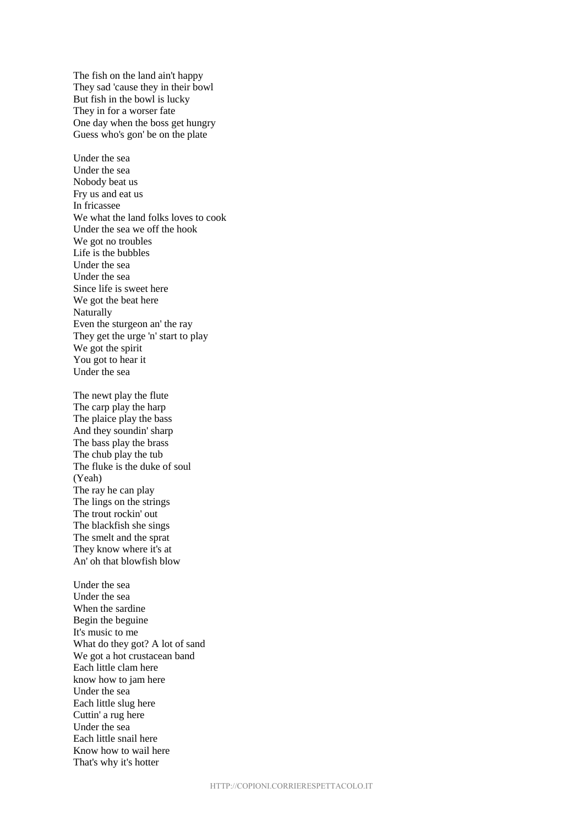The fish on the land ain't happy They sad 'cause they in their bowl But fish in the bowl is lucky They in for a worser fate One day when the boss get hungry Guess who's gon' be on the plate

 Under the sea Under the sea Nobody beat us Fry us and eat us In fricassee We what the land folks loves to cook Under the sea we off the hook We got no troubles Life is the bubbles Under the sea Under the sea Since life is sweet here We got the beat here Naturally Even the sturgeon an' the ray They get the urge 'n' start to play We got the spirit You got to hear it Under the sea

 The newt play the flute The carp play the harp The plaice play the bass And they soundin' sharp The bass play the brass The chub play the tub The fluke is the duke of soul (Yeah) The ray he can play The lings on the strings The trout rockin' out The blackfish she sings The smelt and the sprat They know where it's at An' oh that blowfish blow

 Under the sea Under the sea When the sardine Begin the beguine It's music to me What do they got? A lot of sand We got a hot crustacean band Each little clam here know how to jam here Under the sea Each little slug here Cuttin' a rug here Under the sea Each little snail here Know how to wail here That's why it's hotter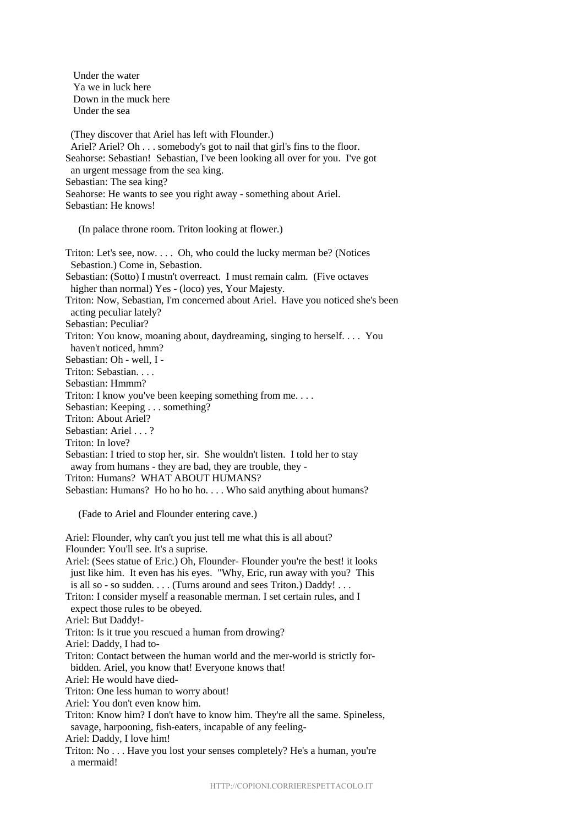Under the water Ya we in luck here Down in the muck here Under the sea

 (They discover that Ariel has left with Flounder.) Ariel? Ariel? Oh . . . somebody's got to nail that girl's fins to the floor. Seahorse: Sebastian! Sebastian, I've been looking all over for you. I've got an urgent message from the sea king. Sebastian: The sea king? Seahorse: He wants to see you right away - something about Ariel. Sebastian: He knows!

(In palace throne room. Triton looking at flower.)

Triton: Let's see, now. . . . Oh, who could the lucky merman be? (Notices Sebastion.) Come in, Sebastion. Sebastian: (Sotto) I mustn't overreact. I must remain calm. (Five octaves higher than normal) Yes - (loco) yes, Your Majesty. Triton: Now, Sebastian, I'm concerned about Ariel. Have you noticed she's been acting peculiar lately? Sebastian: Peculiar? Triton: You know, moaning about, daydreaming, singing to herself. . . . You haven't noticed, hmm? Sebastian: Oh - well, I - Triton: Sebastian. . . . Sebastian: Hmmm? Triton: I know you've been keeping something from me. . . . Sebastian: Keeping . . . something? Triton: About Ariel? Sebastian: Ariel ...? Triton: In love? Sebastian: I tried to stop her, sir. She wouldn't listen. I told her to stay away from humans - they are bad, they are trouble, they - Triton: Humans? WHAT ABOUT HUMANS? Sebastian: Humans? Ho ho ho ho. . . . Who said anything about humans?

(Fade to Ariel and Flounder entering cave.)

Ariel: Flounder, why can't you just tell me what this is all about? Flounder: You'll see. It's a suprise. Ariel: (Sees statue of Eric.) Oh, Flounder- Flounder you're the best! it looks just like him. It even has his eyes. "Why, Eric, run away with you? This is all so - so sudden. . . . (Turns around and sees Triton.) Daddy! . . . Triton: I consider myself a reasonable merman. I set certain rules, and I expect those rules to be obeyed. Ariel: But Daddy!- Triton: Is it true you rescued a human from drowing? Ariel: Daddy, I had to-Triton: Contact between the human world and the mer-world is strictly for bidden. Ariel, you know that! Everyone knows that! Ariel: He would have died-Triton: One less human to worry about! Ariel: You don't even know him. Triton: Know him? I don't have to know him. They're all the same. Spineless, savage, harpooning, fish-eaters, incapable of any feeling-Ariel: Daddy, I love him! Triton: No . . . Have you lost your senses completely? He's a human, you're

a mermaid!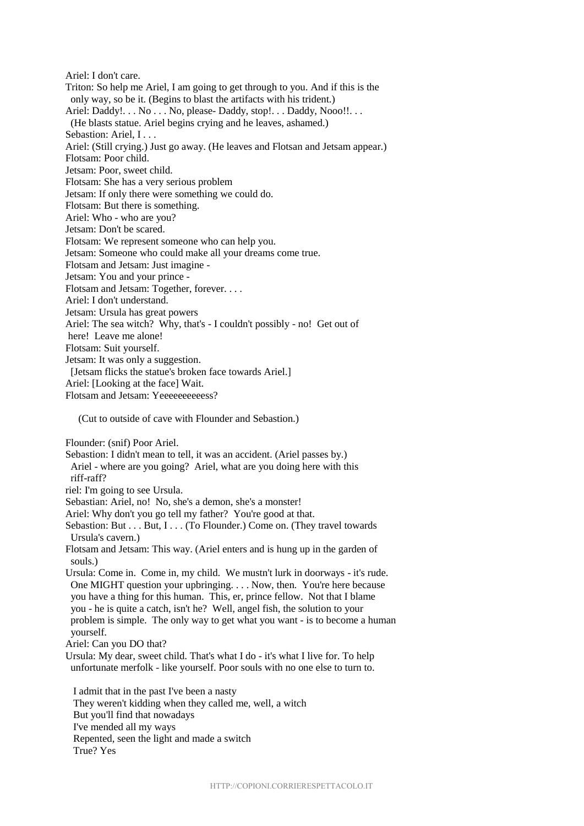Ariel: I don't care. Triton: So help me Ariel, I am going to get through to you. And if this is the only way, so be it. (Begins to blast the artifacts with his trident.) Ariel: Daddy!... No ... No, please- Daddy, stop!... Daddy, Nooo!!... (He blasts statue. Ariel begins crying and he leaves, ashamed.) Sebastion: Ariel, I... Ariel: (Still crying.) Just go away. (He leaves and Flotsan and Jetsam appear.) Flotsam: Poor child. Jetsam: Poor, sweet child. Flotsam: She has a very serious problem Jetsam: If only there were something we could do. Flotsam: But there is something. Ariel: Who - who are you? Jetsam: Don't be scared. Flotsam: We represent someone who can help you. Jetsam: Someone who could make all your dreams come true. Flotsam and Jetsam: Just imagine - Jetsam: You and your prince - Flotsam and Jetsam: Together, forever. . . . Ariel: I don't understand. Jetsam: Ursula has great powers Ariel: The sea witch? Why, that's - I couldn't possibly - no! Get out of here! Leave me alone! Flotsam: Suit yourself. Jetsam: It was only a suggestion. [Jetsam flicks the statue's broken face towards Ariel.] Ariel: [Looking at the face] Wait. Flotsam and Jetsam: Yeeeeeeeeeess? (Cut to outside of cave with Flounder and Sebastion.) Flounder: (snif) Poor Ariel. Sebastion: I didn't mean to tell, it was an accident. (Ariel passes by.) Ariel - where are you going? Ariel, what are you doing here with this riff-raff? riel: I'm going to see Ursula. Sebastian: Ariel, no! No, she's a demon, she's a monster! Ariel: Why don't you go tell my father? You're good at that. Sebastion: But . . . But, I . . . (To Flounder.) Come on. (They travel towards Ursula's cavern.) Flotsam and Jetsam: This way. (Ariel enters and is hung up in the garden of souls.)

Ursula: Come in. Come in, my child. We mustn't lurk in doorways - it's rude. One MIGHT question your upbringing. . . . Now, then. You're here because you have a thing for this human. This, er, prince fellow. Not that I blame you - he is quite a catch, isn't he? Well, angel fish, the solution to your problem is simple. The only way to get what you want - is to become a human yourself.

Ariel: Can you DO that?

Ursula: My dear, sweet child. That's what I do - it's what I live for. To help unfortunate merfolk - like yourself. Poor souls with no one else to turn to.

 I admit that in the past I've been a nasty They weren't kidding when they called me, well, a witch But you'll find that nowadays I've mended all my ways Repented, seen the light and made a switch True? Yes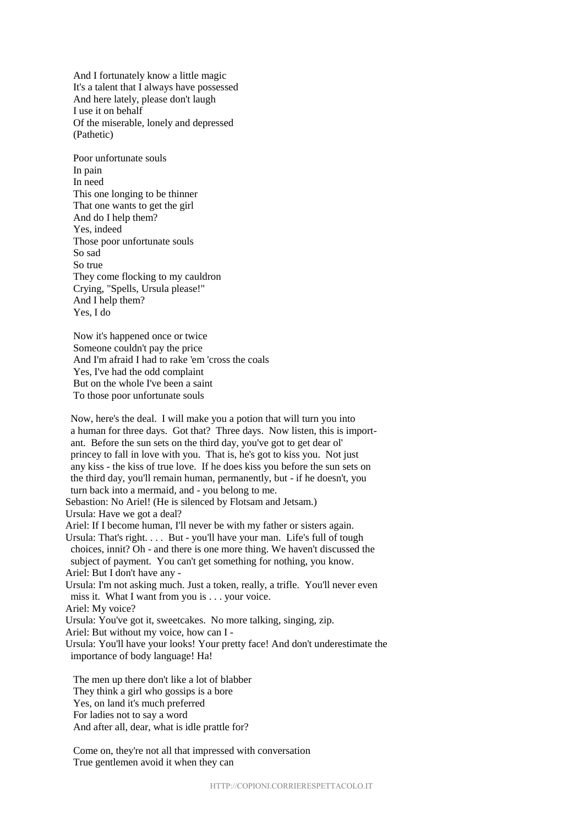And I fortunately know a little magic It's a talent that I always have possessed And here lately, please don't laugh I use it on behalf Of the miserable, lonely and depressed (Pathetic)

 Poor unfortunate souls In pain In need This one longing to be thinner That one wants to get the girl And do I help them? Yes, indeed Those poor unfortunate souls So sad So true They come flocking to my cauldron Crying, "Spells, Ursula please!" And I help them? Yes, I do

 Now it's happened once or twice Someone couldn't pay the price And I'm afraid I had to rake 'em 'cross the coals Yes, I've had the odd complaint But on the whole I've been a saint To those poor unfortunate souls

 Now, here's the deal. I will make you a potion that will turn you into a human for three days. Got that? Three days. Now listen, this is import ant. Before the sun sets on the third day, you've got to get dear ol' princey to fall in love with you. That is, he's got to kiss you. Not just any kiss - the kiss of true love. If he does kiss you before the sun sets on the third day, you'll remain human, permanently, but - if he doesn't, you turn back into a mermaid, and - you belong to me.

Sebastion: No Ariel! (He is silenced by Flotsam and Jetsam.) Ursula: Have we got a deal?

Ariel: If I become human, I'll never be with my father or sisters again.

Ursula: That's right. . . . But - you'll have your man. Life's full of tough choices, innit? Oh - and there is one more thing. We haven't discussed the subject of payment. You can't get something for nothing, you know. Ariel: But I don't have any -

Ursula: I'm not asking much. Just a token, really, a trifle. You'll never even miss it. What I want from you is . . . your voice.

Ariel: My voice?

Ursula: You've got it, sweetcakes. No more talking, singing, zip.

Ariel: But without my voice, how can I -

Ursula: You'll have your looks! Your pretty face! And don't underestimate the importance of body language! Ha!

 The men up there don't like a lot of blabber They think a girl who gossips is a bore Yes, on land it's much preferred For ladies not to say a word And after all, dear, what is idle prattle for?

 Come on, they're not all that impressed with conversation True gentlemen avoid it when they can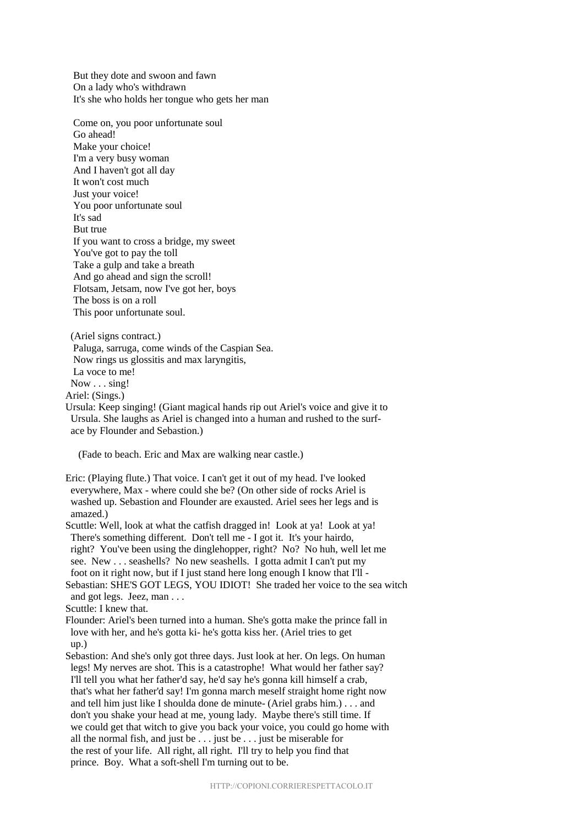But they dote and swoon and fawn On a lady who's withdrawn It's she who holds her tongue who gets her man

 Come on, you poor unfortunate soul Go ahead! Make your choice! I'm a very busy woman And I haven't got all day It won't cost much Just your voice! You poor unfortunate soul It's sad But true If you want to cross a bridge, my sweet You've got to pay the toll Take a gulp and take a breath And go ahead and sign the scroll! Flotsam, Jetsam, now I've got her, boys The boss is on a roll This poor unfortunate soul.

 (Ariel signs contract.) Paluga, sarruga, come winds of the Caspian Sea. Now rings us glossitis and max laryngitis, La voce to me! Now . . . sing! Ariel: (Sings.)

Ursula: Keep singing! (Giant magical hands rip out Ariel's voice and give it to Ursula. She laughs as Ariel is changed into a human and rushed to the surf ace by Flounder and Sebastion.)

(Fade to beach. Eric and Max are walking near castle.)

Eric: (Playing flute.) That voice. I can't get it out of my head. I've looked everywhere, Max - where could she be? (On other side of rocks Ariel is washed up. Sebastion and Flounder are exausted. Ariel sees her legs and is amazed.)

Scuttle: Well, look at what the catfish dragged in! Look at ya! Look at ya! There's something different. Don't tell me - I got it. It's your hairdo, right? You've been using the dinglehopper, right? No? No huh, well let me see. New . . . seashells? No new seashells. I gotta admit I can't put my foot on it right now, but if I just stand here long enough I know that I'll -

Sebastian: SHE'S GOT LEGS, YOU IDIOT! She traded her voice to the sea witch and got legs. Jeez, man . . .

Scuttle: I knew that.

Flounder: Ariel's been turned into a human. She's gotta make the prince fall in love with her, and he's gotta ki- he's gotta kiss her. (Ariel tries to get up.)

Sebastion: And she's only got three days. Just look at her. On legs. On human legs! My nerves are shot. This is a catastrophe! What would her father say? I'll tell you what her father'd say, he'd say he's gonna kill himself a crab, that's what her father'd say! I'm gonna march meself straight home right now and tell him just like I shoulda done de minute- (Ariel grabs him.) . . . and don't you shake your head at me, young lady. Maybe there's still time. If we could get that witch to give you back your voice, you could go home with all the normal fish, and just be . . . just be . . . just be miserable for the rest of your life. All right, all right. I'll try to help you find that prince. Boy. What a soft-shell I'm turning out to be.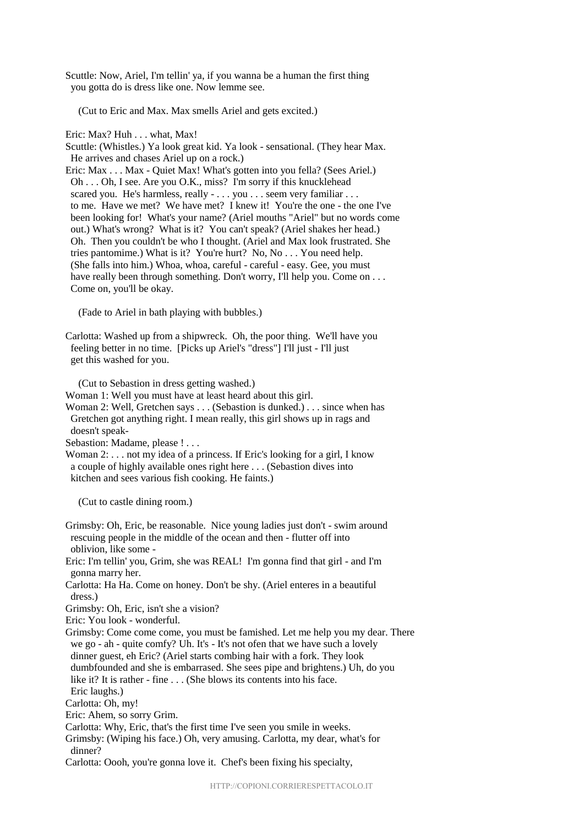Scuttle: Now, Ariel, I'm tellin' ya, if you wanna be a human the first thing you gotta do is dress like one. Now lemme see.

(Cut to Eric and Max. Max smells Ariel and gets excited.)

Eric: Max? Huh . . . what, Max!

Scuttle: (Whistles.) Ya look great kid. Ya look - sensational. (They hear Max. He arrives and chases Ariel up on a rock.)

Eric: Max . . . Max - Quiet Max! What's gotten into you fella? (Sees Ariel.) Oh . . . Oh, I see. Are you O.K., miss? I'm sorry if this knucklehead scared you. He's harmless, really - . . . you . . . seem very familiar . . . to me. Have we met? We have met? I knew it! You're the one - the one I've been looking for! What's your name? (Ariel mouths "Ariel" but no words come out.) What's wrong? What is it? You can't speak? (Ariel shakes her head.) Oh. Then you couldn't be who I thought. (Ariel and Max look frustrated. She tries pantomime.) What is it? You're hurt? No, No . . . You need help. (She falls into him.) Whoa, whoa, careful - careful - easy. Gee, you must have really been through something. Don't worry, I'll help you. Come on . . . Come on, you'll be okay.

(Fade to Ariel in bath playing with bubbles.)

Carlotta: Washed up from a shipwreck. Oh, the poor thing. We'll have you feeling better in no time. [Picks up Ariel's "dress"] I'll just - I'll just get this washed for you.

(Cut to Sebastion in dress getting washed.)

Woman 1: Well you must have at least heard about this girl.

Woman 2: Well, Gretchen says . . . (Sebastion is dunked.) . . . since when has Gretchen got anything right. I mean really, this girl shows up in rags and doesn't speak-

Sebastion: Madame, please ! . . .

Woman 2: . . . not my idea of a princess. If Eric's looking for a girl, I know a couple of highly available ones right here . . . (Sebastion dives into kitchen and sees various fish cooking. He faints.)

(Cut to castle dining room.)

Grimsby: Oh, Eric, be reasonable. Nice young ladies just don't - swim around rescuing people in the middle of the ocean and then - flutter off into oblivion, like some -

Eric: I'm tellin' you, Grim, she was REAL! I'm gonna find that girl - and I'm gonna marry her.

Carlotta: Ha Ha. Come on honey. Don't be shy. (Ariel enteres in a beautiful dress.)

Grimsby: Oh, Eric, isn't she a vision?

Eric: You look - wonderful.

Grimsby: Come come come, you must be famished. Let me help you my dear. There we go - ah - quite comfy? Uh. It's - It's not ofen that we have such a lovely dinner guest, eh Eric? (Ariel starts combing hair with a fork. They look dumbfounded and she is embarrased. She sees pipe and brightens.) Uh, do you like it? It is rather - fine . . . (She blows its contents into his face. Eric laughs.)

Carlotta: Oh, my!

Eric: Ahem, so sorry Grim.

Carlotta: Why, Eric, that's the first time I've seen you smile in weeks.

Grimsby: (Wiping his face.) Oh, very amusing. Carlotta, my dear, what's for dinner?

Carlotta: Oooh, you're gonna love it. Chef's been fixing his specialty,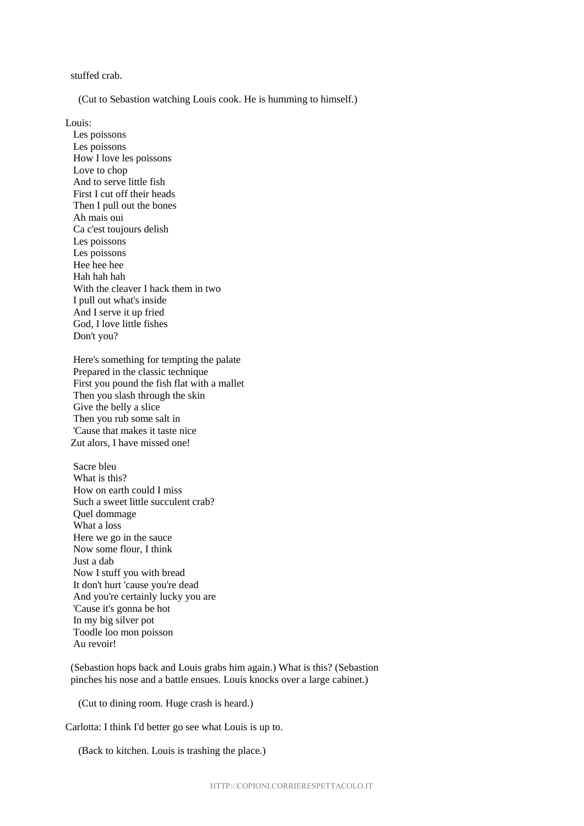stuffed crab.

(Cut to Sebastion watching Louis cook. He is humming to himself.)

Louis:

 Les poissons Les poissons How I love les poissons Love to chop And to serve little fish First I cut off their heads Then I pull out the bones Ah mais oui Ca c'est toujours delish Les poissons Les poissons Hee hee hee Hah hah hah With the cleaver I hack them in two I pull out what's inside And I serve it up fried God, I love little fishes Don't you?

 Here's something for tempting the palate Prepared in the classic technique First you pound the fish flat with a mallet Then you slash through the skin Give the belly a slice Then you rub some salt in 'Cause that makes it taste nice Zut alors, I have missed one!

 Sacre bleu What is this? How on earth could I miss Such a sweet little succulent crab? Quel dommage What a loss Here we go in the sauce Now some flour, I think Just a dab Now I stuff you with bread It don't hurt 'cause you're dead And you're certainly lucky you are 'Cause it's gonna be hot In my big silver pot Toodle loo mon poisson Au revoir!

 (Sebastion hops back and Louis grabs him again.) What is this? (Sebastion pinches his nose and a battle ensues. Louis knocks over a large cabinet.)

(Cut to dining room. Huge crash is heard.)

Carlotta: I think I'd better go see what Louis is up to.

(Back to kitchen. Louis is trashing the place.)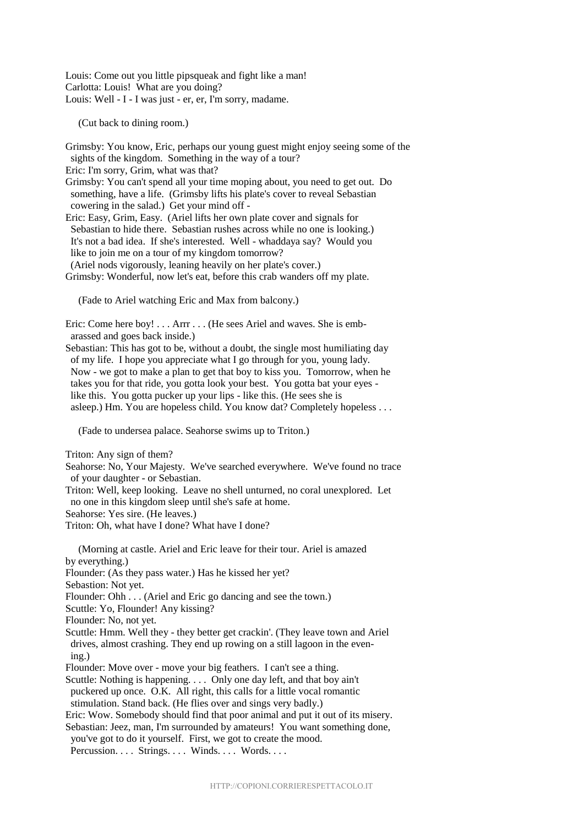Louis: Come out you little pipsqueak and fight like a man! Carlotta: Louis! What are you doing? Louis: Well - I - I was just - er, er, I'm sorry, madame.

(Cut back to dining room.)

Grimsby: You know, Eric, perhaps our young guest might enjoy seeing some of the sights of the kingdom. Something in the way of a tour? Eric: I'm sorry, Grim, what was that? Grimsby: You can't spend all your time moping about, you need to get out. Do something, have a life. (Grimsby lifts his plate's cover to reveal Sebastian cowering in the salad.) Get your mind off - Eric: Easy, Grim, Easy. (Ariel lifts her own plate cover and signals for Sebastian to hide there. Sebastian rushes across while no one is looking.) It's not a bad idea. If she's interested. Well - whaddaya say? Would you

like to join me on a tour of my kingdom tomorrow?

(Ariel nods vigorously, leaning heavily on her plate's cover.)

Grimsby: Wonderful, now let's eat, before this crab wanders off my plate.

(Fade to Ariel watching Eric and Max from balcony.)

Eric: Come here boy! . . . Arrr . . . (He sees Ariel and waves. She is embarassed and goes back inside.)

Sebastian: This has got to be, without a doubt, the single most humiliating day of my life. I hope you appreciate what I go through for you, young lady. Now - we got to make a plan to get that boy to kiss you. Tomorrow, when he takes you for that ride, you gotta look your best. You gotta bat your eyes like this. You gotta pucker up your lips - like this. (He sees she is asleep.) Hm. You are hopeless child. You know dat? Completely hopeless . . .

(Fade to undersea palace. Seahorse swims up to Triton.)

Triton: Any sign of them?

Seahorse: No, Your Majesty. We've searched everywhere. We've found no trace of your daughter - or Sebastian.

Triton: Well, keep looking. Leave no shell unturned, no coral unexplored. Let no one in this kingdom sleep until she's safe at home.

Seahorse: Yes sire. (He leaves.)

Triton: Oh, what have I done? What have I done?

 (Morning at castle. Ariel and Eric leave for their tour. Ariel is amazed by everything.)

Flounder: (As they pass water.) Has he kissed her yet?

Sebastion: Not yet.

Flounder: Ohh . . . (Ariel and Eric go dancing and see the town.)

Scuttle: Yo, Flounder! Any kissing?

Flounder: No, not yet.

Scuttle: Hmm. Well they - they better get crackin'. (They leave town and Ariel drives, almost crashing. They end up rowing on a still lagoon in the even ing.)

Flounder: Move over - move your big feathers. I can't see a thing.

Scuttle: Nothing is happening. . . . Only one day left, and that boy ain't puckered up once. O.K. All right, this calls for a little vocal romantic stimulation. Stand back. (He flies over and sings very badly.)

Eric: Wow. Somebody should find that poor animal and put it out of its misery.

Sebastian: Jeez, man, I'm surrounded by amateurs! You want something done,

you've got to do it yourself. First, we got to create the mood.

Percussion. . . . Strings. . . . Winds. . . . Words. . . .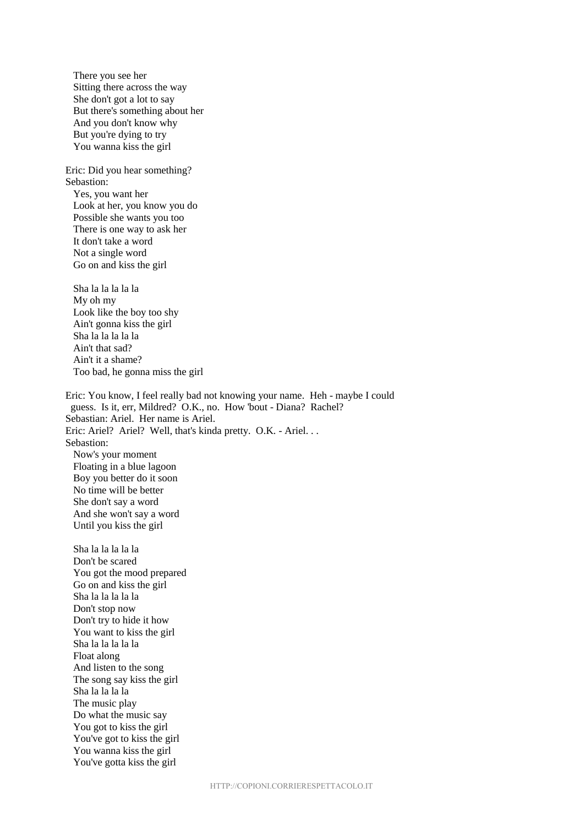There you see her Sitting there across the way She don't got a lot to say But there's something about her And you don't know why But you're dying to try You wanna kiss the girl Eric: Did you hear something? Sebastion: Yes, you want her Look at her, you know you do Possible she wants you too There is one way to ask her It don't take a word Not a single word Go on and kiss the girl Sha la la la la la My oh my Look like the boy too shy Ain't gonna kiss the girl Sha la la la la la Ain't that sad? Ain't it a shame? Too bad, he gonna miss the girl Eric: You know, I feel really bad not knowing your name. Heh - maybe I could guess. Is it, err, Mildred? O.K., no. How 'bout - Diana? Rachel? Sebastian: Ariel. Her name is Ariel. Eric: Ariel? Ariel? Well, that's kinda pretty. O.K. - Ariel. . . Sebastion: Now's your moment Floating in a blue lagoon Boy you better do it soon No time will be better She don't say a word And she won't say a word Until you kiss the girl Sha la la la la la Don't be scared You got the mood prepared Go on and kiss the girl Sha la la la la la Don't stop now Don't try to hide it how You want to kiss the girl Sha la la la la la Float along And listen to the song The song say kiss the girl Sha la la la la The music play Do what the music say You got to kiss the girl You've got to kiss the girl You wanna kiss the girl You've gotta kiss the girl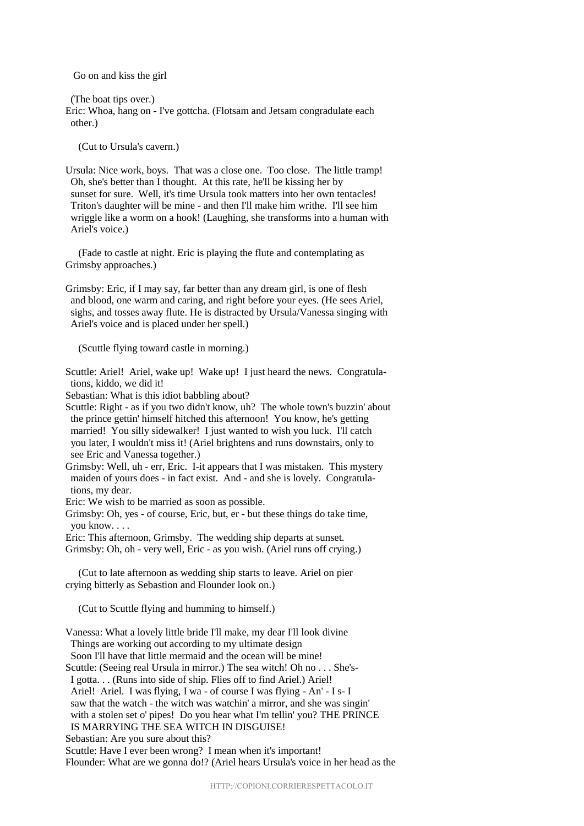Go on and kiss the girl

 (The boat tips over.) Eric: Whoa, hang on - I've gottcha. (Flotsam and Jetsam congradulate each other.)

(Cut to Ursula's cavern.)

Ursula: Nice work, boys. That was a close one. Too close. The little tramp! Oh, she's better than I thought. At this rate, he'll be kissing her by sunset for sure. Well, it's time Ursula took matters into her own tentacles! Triton's daughter will be mine - and then I'll make him writhe. I'll see him wriggle like a worm on a hook! (Laughing, she transforms into a human with Ariel's voice.)

 (Fade to castle at night. Eric is playing the flute and contemplating as Grimsby approaches.)

Grimsby: Eric, if I may say, far better than any dream girl, is one of flesh and blood, one warm and caring, and right before your eyes. (He sees Ariel, sighs, and tosses away flute. He is distracted by Ursula/Vanessa singing with Ariel's voice and is placed under her spell.)

(Scuttle flying toward castle in morning.)

Scuttle: Ariel! Ariel, wake up! Wake up! I just heard the news. Congratulations, kiddo, we did it!

Sebastian: What is this idiot babbling about?

Scuttle: Right - as if you two didn't know, uh? The whole town's buzzin' about the prince gettin' himself hitched this afternoon! You know, he's getting married! You silly sidewalker! I just wanted to wish you luck. I'll catch you later, I wouldn't miss it! (Ariel brightens and runs downstairs, only to see Eric and Vanessa together.)

Grimsby: Well, uh - err, Eric. I-it appears that I was mistaken. This mystery maiden of yours does - in fact exist. And - and she is lovely. Congratula tions, my dear.

Eric: We wish to be married as soon as possible.

Grimsby: Oh, yes - of course, Eric, but, er - but these things do take time, you know. . . .

Eric: This afternoon, Grimsby. The wedding ship departs at sunset.

Grimsby: Oh, oh - very well, Eric - as you wish. (Ariel runs off crying.)

 (Cut to late afternoon as wedding ship starts to leave. Ariel on pier crying bitterly as Sebastion and Flounder look on.)

(Cut to Scuttle flying and humming to himself.)

Vanessa: What a lovely little bride I'll make, my dear I'll look divine Things are working out according to my ultimate design

Soon I'll have that little mermaid and the ocean will be mine!

Scuttle: (Seeing real Ursula in mirror.) The sea witch! Oh no . . . She's-

I gotta. . . (Runs into side of ship. Flies off to find Ariel.) Ariel!

Ariel! Ariel. I was flying, I wa - of course I was flying - An' - I s- I

saw that the watch - the witch was watchin' a mirror, and she was singin'

with a stolen set o' pipes! Do you hear what I'm tellin' you? THE PRINCE

IS MARRYING THE SEA WITCH IN DISGUISE!

Sebastian: Are you sure about this?

Scuttle: Have I ever been wrong? I mean when it's important! Flounder: What are we gonna do!? (Ariel hears Ursula's voice in her head as the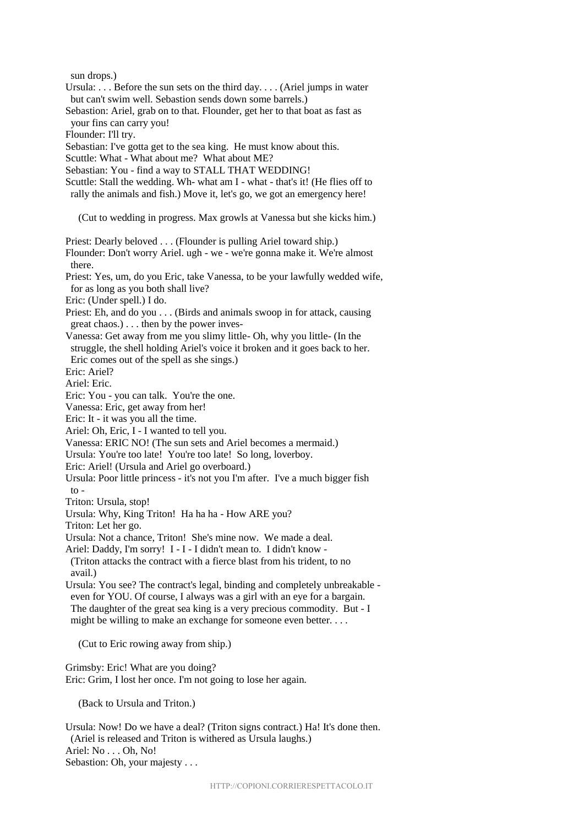sun drops.)

- Ursula: . . . Before the sun sets on the third day. . . . (Ariel jumps in water but can't swim well. Sebastion sends down some barrels.)
- Sebastion: Ariel, grab on to that. Flounder, get her to that boat as fast as your fins can carry you!

Flounder: I'll try.

Sebastian: I've gotta get to the sea king. He must know about this.

Scuttle: What - What about me? What about ME?

Sebastian: You - find a way to STALL THAT WEDDING!

Scuttle: Stall the wedding. Wh- what am I - what - that's it! (He flies off to rally the animals and fish.) Move it, let's go, we got an emergency here!

(Cut to wedding in progress. Max growls at Vanessa but she kicks him.)

Priest: Dearly beloved . . . (Flounder is pulling Ariel toward ship.)

Flounder: Don't worry Ariel. ugh - we - we're gonna make it. We're almost there.

Priest: Yes, um, do you Eric, take Vanessa, to be your lawfully wedded wife, for as long as you both shall live?

Eric: (Under spell.) I do.

Priest: Eh, and do you . . . (Birds and animals swoop in for attack, causing great chaos.) . . . then by the power inves-

Vanessa: Get away from me you slimy little- Oh, why you little- (In the struggle, the shell holding Ariel's voice it broken and it goes back to her. Eric comes out of the spell as she sings.)

Eric: Ariel?

Ariel: Eric.

Eric: You - you can talk. You're the one.

Vanessa: Eric, get away from her!

Eric: It - it was you all the time.

Ariel: Oh, Eric, I - I wanted to tell you.

Vanessa: ERIC NO! (The sun sets and Ariel becomes a mermaid.)

Ursula: You're too late! You're too late! So long, loverboy.

Eric: Ariel! (Ursula and Ariel go overboard.)

Ursula: Poor little princess - it's not you I'm after. I've a much bigger fish  $\overline{t}$ o -

Triton: Ursula, stop!

Ursula: Why, King Triton! Ha ha ha - How ARE you?

Triton: Let her go.

Ursula: Not a chance, Triton! She's mine now. We made a deal.

Ariel: Daddy, I'm sorry! I - I - I didn't mean to. I didn't know -

 (Triton attacks the contract with a fierce blast from his trident, to no avail.)

Ursula: You see? The contract's legal, binding and completely unbreakable even for YOU. Of course, I always was a girl with an eye for a bargain. The daughter of the great sea king is a very precious commodity. But - I might be willing to make an exchange for someone even better. . . .

(Cut to Eric rowing away from ship.)

Grimsby: Eric! What are you doing? Eric: Grim, I lost her once. I'm not going to lose her again.

(Back to Ursula and Triton.)

Ursula: Now! Do we have a deal? (Triton signs contract.) Ha! It's done then. (Ariel is released and Triton is withered as Ursula laughs.) Ariel: No . . . Oh, No! Sebastion: Oh, your majesty . . .